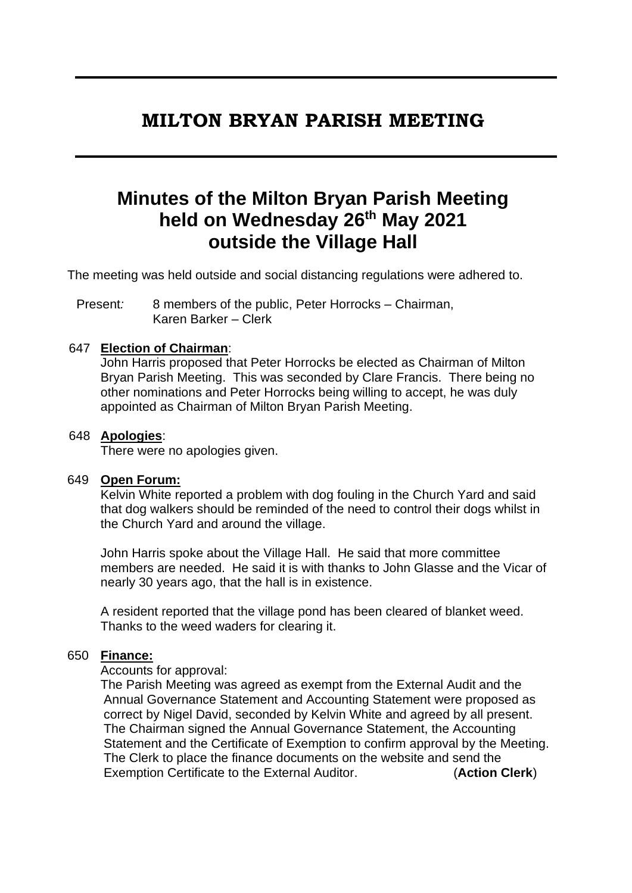# **MILTON BRYAN PARISH MEETING**

# **Minutes of the Milton Bryan Parish Meeting held on Wednesday 26th May 2021 outside the Village Hall**

The meeting was held outside and social distancing regulations were adhered to.

Present*:* 8 members of the public, Peter Horrocks – Chairman, Karen Barker – Clerk

## 647 **Election of Chairman**:

John Harris proposed that Peter Horrocks be elected as Chairman of Milton Bryan Parish Meeting. This was seconded by Clare Francis. There being no other nominations and Peter Horrocks being willing to accept, he was duly appointed as Chairman of Milton Bryan Parish Meeting.

#### 648 **Apologies**:

There were no apologies given.

#### 649 **Open Forum:**

Kelvin White reported a problem with dog fouling in the Church Yard and said that dog walkers should be reminded of the need to control their dogs whilst in the Church Yard and around the village.

John Harris spoke about the Village Hall. He said that more committee members are needed. He said it is with thanks to John Glasse and the Vicar of nearly 30 years ago, that the hall is in existence.

A resident reported that the village pond has been cleared of blanket weed. Thanks to the weed waders for clearing it.

#### 650 **Finance:**

Accounts for approval:

The Parish Meeting was agreed as exempt from the External Audit and the Annual Governance Statement and Accounting Statement were proposed as correct by Nigel David, seconded by Kelvin White and agreed by all present. The Chairman signed the Annual Governance Statement, the Accounting Statement and the Certificate of Exemption to confirm approval by the Meeting. The Clerk to place the finance documents on the website and send the Exemption Certificate to the External Auditor. (**Action Clerk**)